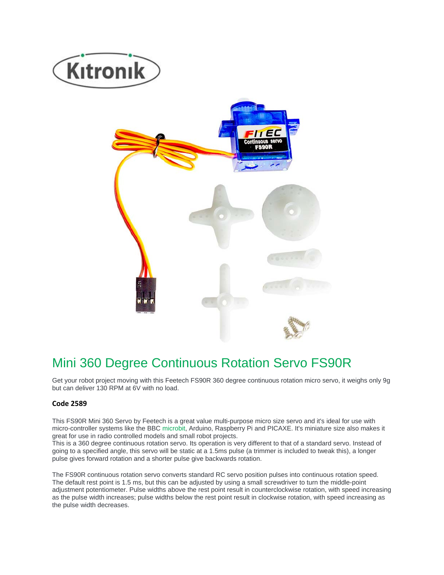



# Mini 360 Degree Continuous Rotation Servo FS90R

Get your robot project moving with this Feetech FS90R 360 degree continuous rotation micro servo, it weighs only 9g but can deliver 130 RPM at 6V with no load.

## **Code 2589**

This FS90R Mini 360 Servo by Feetech is a great value multi-purpose micro size servo and it's ideal for use with micro-controller systems like the BBC microbit, Arduino, Raspberry Pi and PICAXE. It's miniature size also makes it great for use in radio controlled models and small robot projects.

This is a 360 degree continuous rotation servo. Its operation is very different to that of a standard servo. Instead of going to a specified angle, this servo will be static at a 1.5ms pulse (a trimmer is included to tweak this), a longer pulse gives forward rotation and a shorter pulse give backwards rotation.

The FS90R continuous rotation servo converts standard RC servo position pulses into continuous rotation speed. The default rest point is 1.5 ms, but this can be adjusted by using a small screwdriver to turn the middle-point adjustment potentiometer. Pulse widths above the rest point result in counterclockwise rotation, with speed increasing as the pulse width increases; pulse widths below the rest point result in clockwise rotation, with speed increasing as the pulse width decreases.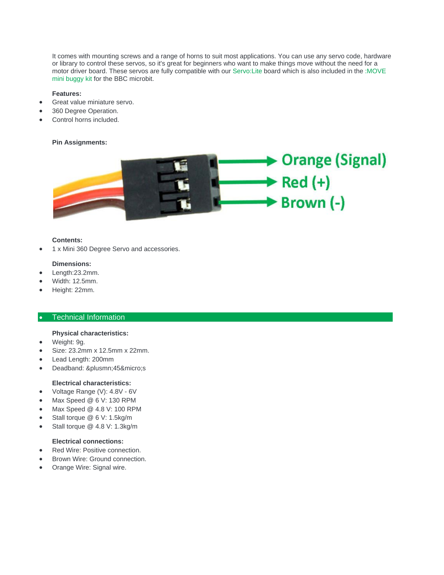It comes with mounting screws and a range of horns to suit most applications. You can use any servo code, hardware or library to control these servos, so it's great for beginners who want to make things move without the need for a motor driver board. These servos are fully compatible with our Servo:Lite board which is also included in the :MOVE mini buggy kit for the BBC microbit.

#### **Features:**

- Great value miniature servo.
- 360 Degree Operation.
- Control horns included.

### **Pin Assignments:**



#### **Contents:**

1 x Mini 360 Degree Servo and accessories.

#### **Dimensions:**

- Length:23.2mm.
- Width: 12.5mm.
- Height: 22mm.

### • Technical Information

#### **Physical characteristics:**

- Weight: 9g.
- Size: 23.2mm x 12.5mm x 22mm.
- Lead Length: 200mm
- Deadband: ±45µs

## **Electrical characteristics:**

- Voltage Range (V): 4.8V 6V
- Max Speed @ 6 V: 130 RPM
- Max Speed @ 4.8 V: 100 RPM
- Stall torque @ 6 V: 1.5kg/m
- Stall torque @ 4.8 V: 1.3kg/m

### **Electrical connections:**

- Red Wire: Positive connection.
- Brown Wire: Ground connection.
- Orange Wire: Signal wire.